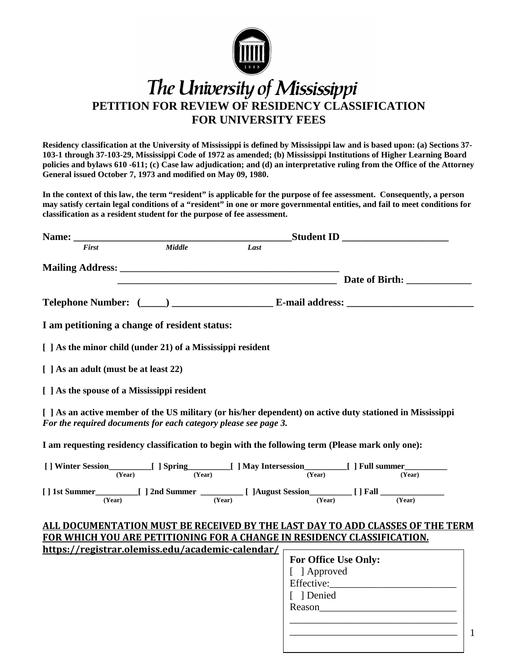

# The University of Mississippi **PETITION FOR REVIEW OF RESIDENCY CLASSIFICATION FOR UNIVERSITY FEES**

**Residency classification at the University of Mississippi is defined by Mississippi law and is based upon: (a) Sections 37- 103-1 through 37-103-29, Mississippi Code of 1972 as amended; (b) Mississippi Institutions of Higher Learning Board policies and bylaws 610 -611; (c) Case law adjudication; and (d) an interpretative ruling from the Office of the Attorney General issued October 7, 1973 and modified on May 09, 1980.**

**In the context of this law, the term "resident" is applicable for the purpose of fee assessment. Consequently, a person may satisfy certain legal conditions of a "resident" in one or more governmental entities, and fail to meet conditions for classification as a resident student for the purpose of fee assessment.**

| Name:                                                                                                                                                                        |               |        | <b>Student ID</b>           |                                                                         |
|------------------------------------------------------------------------------------------------------------------------------------------------------------------------------|---------------|--------|-----------------------------|-------------------------------------------------------------------------|
| <b>First</b>                                                                                                                                                                 | <b>Middle</b> | Last   |                             |                                                                         |
|                                                                                                                                                                              |               |        |                             |                                                                         |
|                                                                                                                                                                              |               |        |                             |                                                                         |
|                                                                                                                                                                              |               |        |                             |                                                                         |
|                                                                                                                                                                              |               |        |                             |                                                                         |
| I am petitioning a change of resident status:                                                                                                                                |               |        |                             |                                                                         |
| $\lceil$   As the minor child (under 21) of a Mississippi resident                                                                                                           |               |        |                             |                                                                         |
| [ ] As an adult (must be at least 22)                                                                                                                                        |               |        |                             |                                                                         |
| [ ] As the spouse of a Mississippi resident                                                                                                                                  |               |        |                             |                                                                         |
| [ ] As an active member of the US military (or his/her dependent) on active duty stationed in Mississippi<br>For the required documents for each category please see page 3. |               |        |                             |                                                                         |
| I am requesting residency classification to begin with the following term (Please mark only one):                                                                            |               |        |                             |                                                                         |
|                                                                                                                                                                              |               |        |                             |                                                                         |
|                                                                                                                                                                              |               |        |                             |                                                                         |
|                                                                                                                                                                              |               |        |                             |                                                                         |
| (Year)                                                                                                                                                                       |               | (Year) | $\overline{\text{(Year)}}$  | (Year)                                                                  |
| ALL DOCUMENTATION MUST BE RECEIVED BY THE LAST DAY TO ADD CLASSES OF THE TERM                                                                                                |               |        |                             |                                                                         |
| FOR WHICH YOU ARE PETITIONING FOR A CHANGE IN RESIDENCY CLASSIFICATION.                                                                                                      |               |        |                             |                                                                         |
| https://registrar.olemiss.edu/academic-calendar/                                                                                                                             |               |        |                             |                                                                         |
|                                                                                                                                                                              |               |        | <b>For Office Use Only:</b> |                                                                         |
|                                                                                                                                                                              |               |        | [ ] Approved                |                                                                         |
|                                                                                                                                                                              |               |        |                             | Effective: Note:                                                        |
|                                                                                                                                                                              |               |        | [ ] Denied                  |                                                                         |
|                                                                                                                                                                              |               |        |                             | Reason                                                                  |
|                                                                                                                                                                              |               |        |                             |                                                                         |
|                                                                                                                                                                              |               |        |                             | $\mathbf{1}$<br><u> 1989 - Andrea Stadt, fransk politiker (d. 1989)</u> |
|                                                                                                                                                                              |               |        |                             |                                                                         |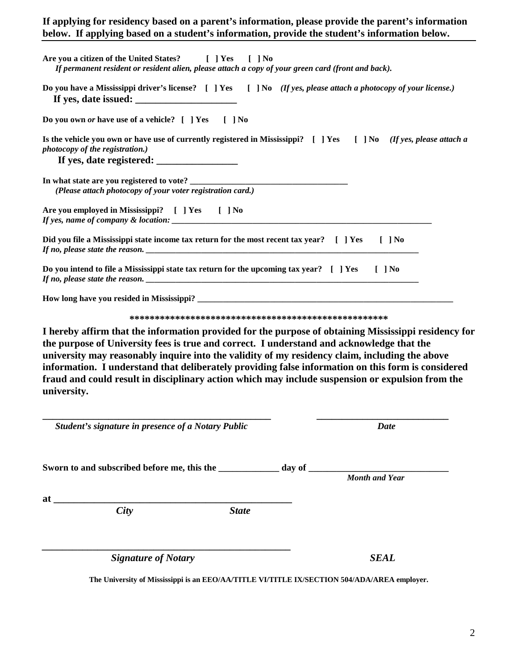# **If applying for residency based on a parent's information, please provide the parent's information below. If applying based on a student's information, provide the student's information below.**

| Are you a citizen of the United States? [ ] Yes [ ] No<br>If permanent resident or resident alien, please attach a copy of your green card (front and back).                                                                                                                                                                                                                                                                                                                                                                 |             |
|------------------------------------------------------------------------------------------------------------------------------------------------------------------------------------------------------------------------------------------------------------------------------------------------------------------------------------------------------------------------------------------------------------------------------------------------------------------------------------------------------------------------------|-------------|
| Do you have a Mississippi driver's license? [ ] Yes [ ] No (If yes, please attach a photocopy of your license.)                                                                                                                                                                                                                                                                                                                                                                                                              |             |
| Do you own or have use of a vehicle? [ ] Yes [ ] No                                                                                                                                                                                                                                                                                                                                                                                                                                                                          |             |
| Is the vehicle you own or have use of currently registered in Mississippi? [ ] Yes [ ] No (If yes, please attach a<br>photocopy of the registration.)                                                                                                                                                                                                                                                                                                                                                                        |             |
| (Please attach photocopy of your voter registration card.)                                                                                                                                                                                                                                                                                                                                                                                                                                                                   |             |
| Are you employed in Mississippi? [ ] Yes [ ] No                                                                                                                                                                                                                                                                                                                                                                                                                                                                              |             |
| Did you file a Mississippi state income tax return for the most recent tax year? [ ] Yes [ ] No                                                                                                                                                                                                                                                                                                                                                                                                                              |             |
| Do you intend to file a Mississippi state tax return for the upcoming tax year? [ ] Yes [ ] No                                                                                                                                                                                                                                                                                                                                                                                                                               |             |
|                                                                                                                                                                                                                                                                                                                                                                                                                                                                                                                              |             |
|                                                                                                                                                                                                                                                                                                                                                                                                                                                                                                                              |             |
| I hereby affirm that the information provided for the purpose of obtaining Mississippi residency for<br>the purpose of University fees is true and correct. I understand and acknowledge that the<br>university may reasonably inquire into the validity of my residency claim, including the above<br>information. I understand that deliberately providing false information on this form is considered<br>fraud and could result in disciplinary action which may include suspension or expulsion from the<br>university. |             |
| Student's signature in presence of a Notary Public                                                                                                                                                                                                                                                                                                                                                                                                                                                                           | <b>Date</b> |
| Sworn to and subscribed before me, this the ______________ day of _______________ Month and Year                                                                                                                                                                                                                                                                                                                                                                                                                             |             |
|                                                                                                                                                                                                                                                                                                                                                                                                                                                                                                                              |             |
| $\begin{array}{c}\n\phantom{\int^{P^P}}\n\end{array}$ at $\begin{array}{c}\n\phantom{\int^{P^P}}\n\end{array}$                                                                                                                                                                                                                                                                                                                                                                                                               |             |
| <b>State</b>                                                                                                                                                                                                                                                                                                                                                                                                                                                                                                                 |             |
| <b>Signature of Notary</b>                                                                                                                                                                                                                                                                                                                                                                                                                                                                                                   | <b>SEAL</b> |

**The University of Mississippi is an EEO/AA/TITLE VI/TITLE IX/SECTION 504/ADA/AREA employer.**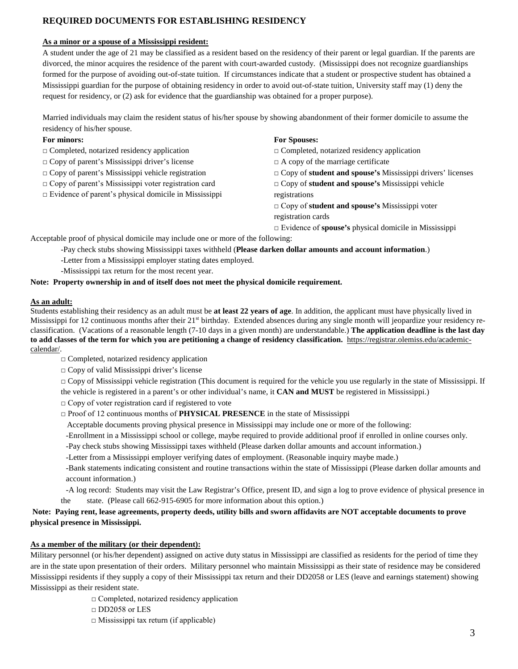## **REQUIRED DOCUMENTS FOR ESTABLISHING RESIDENCY**

#### **As a minor or a spouse of a Mississippi resident:**

A student under the age of 21 may be classified as a resident based on the residency of their parent or legal guardian. If the parents are divorced, the minor acquires the residence of the parent with court-awarded custody. (Mississippi does not recognize guardianships formed for the purpose of avoiding out-of-state tuition. If circumstances indicate that a student or prospective student has obtained a Mississippi guardian for the purpose of obtaining residency in order to avoid out-of-state tuition, University staff may (1) deny the request for residency, or (2) ask for evidence that the guardianship was obtained for a proper purpose).

Married individuals may claim the resident status of his/her spouse by showing abandonment of their former domicile to assume the residency of his/her spouse.

#### **For minors:**

- □ Completed, notarized residency application
- **□** Copy of parent's Mississippi driver's license
- **□** Copy of parent's Mississippi vehicle registration
- □ Copy of parent's Mississippi voter registration card
- $\Box$  Evidence of parent's physical domicile in Mississippi

#### **For Spouses:**

- **□** Completed, notarized residency application
- **□** A copy of the marriage certificate
- **□** Copy of **student and spouse's** Mississippi drivers' licenses
- **□** Copy of **student and spouse's** Mississippi vehicle registrations
- □ Copy of **student and spouse's** Mississippi voter registration cards
- □ Evidence of **spouse's** physical domicile in Mississippi

Acceptable proof of physical domicile may include one or more of the following:

- -Pay check stubs showing Mississippi taxes withheld (**Please darken dollar amounts and account information**.)
- -Letter from a Mississippi employer stating dates employed.
- -Mississippi tax return for the most recent year.

#### **Note: Property ownership in and of itself does not meet the physical domicile requirement.**

### **As an adult:**

Students establishing their residency as an adult must be **at least 22 years of age**. In addition, the applicant must have physically lived in Mississippi for 12 continuous months after their 21<sup>st</sup> birthday. Extended absences during any single month will jeopardize your residency reclassification. (Vacations of a reasonable length (7-10 days in a given month) are understandable.) **The application deadline is the last day to add classes of the term for which you are petitioning a change of residency classification.** [https://registrar.olemiss.edu/academic](https://registrar.olemiss.edu/academic-calendar/)[calendar/.](https://registrar.olemiss.edu/academic-calendar/)

**□** Completed, notarized residency application

- **□** Copy of valid Mississippi driver's license
- □ Copy of Mississippi vehicle registration (This document is required for the vehicle you use regularly in the state of Mississippi. If the vehicle is registered in a parent's or other individual's name, it **CAN and MUST** be registered in Mississippi.)
- $\Box$  Copy of voter registration card if registered to vote
- □ Proof of 12 continuous months of **PHYSICAL PRESENCE** in the state of Mississippi
- Acceptable documents proving physical presence in Mississippi may include one or more of the following:
- -Enrollment in a Mississippi school or college, maybe required to provide additional proof if enrolled in online courses only.
- -Pay check stubs showing Mississippi taxes withheld (Please darken dollar amounts and account information.)
- -Letter from a Mississippi employer verifying dates of employment. (Reasonable inquiry maybe made.)
- -Bank statements indicating consistent and routine transactions within the state of Mississippi (Please darken dollar amounts and account information.)
- -A log record: Students may visit the Law Registrar's Office, present ID, and sign a log to prove evidence of physical presence in the state. (Please call 662-915-6905 for more information about this option.)

### **Note: Paying rent, lease agreements, property deeds, utility bills and sworn affidavits are NOT acceptable documents to prove physical presence in Mississippi.**

### **As a member of the military (or their dependent):**

Military personnel (or his/her dependent) assigned on active duty status in Mississippi are classified as residents for the period of time they are in the state upon presentation of their orders. Military personnel who maintain Mississippi as their state of residence may be considered Mississippi residents if they supply a copy of their Mississippi tax return and their DD2058 or LES (leave and earnings statement) showing Mississippi as their resident state.

- □ Completed, notarized residency application
- □ DD2058 or LES
- $\Box$  Mississippi tax return (if applicable)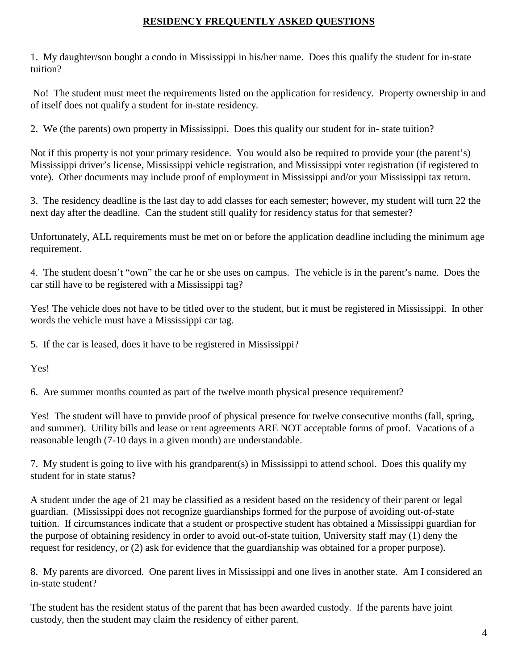# **RESIDENCY FREQUENTLY ASKED QUESTIONS**

1. My daughter/son bought a condo in Mississippi in his/her name. Does this qualify the student for in-state tuition?

No! The student must meet the requirements listed on the application for residency. Property ownership in and of itself does not qualify a student for in-state residency.

2. We (the parents) own property in Mississippi. Does this qualify our student for in- state tuition?

Not if this property is not your primary residence. You would also be required to provide your (the parent's) Mississippi driver's license, Mississippi vehicle registration, and Mississippi voter registration (if registered to vote). Other documents may include proof of employment in Mississippi and/or your Mississippi tax return.

3. The residency deadline is the last day to add classes for each semester; however, my student will turn 22 the next day after the deadline. Can the student still qualify for residency status for that semester?

Unfortunately, ALL requirements must be met on or before the application deadline including the minimum age requirement.

4. The student doesn't "own" the car he or she uses on campus. The vehicle is in the parent's name. Does the car still have to be registered with a Mississippi tag?

Yes! The vehicle does not have to be titled over to the student, but it must be registered in Mississippi. In other words the vehicle must have a Mississippi car tag.

5. If the car is leased, does it have to be registered in Mississippi?

Yes!

6. Are summer months counted as part of the twelve month physical presence requirement?

Yes! The student will have to provide proof of physical presence for twelve consecutive months (fall, spring, and summer). Utility bills and lease or rent agreements ARE NOT acceptable forms of proof. Vacations of a reasonable length (7-10 days in a given month) are understandable.

7. My student is going to live with his grandparent(s) in Mississippi to attend school. Does this qualify my student for in state status?

A student under the age of 21 may be classified as a resident based on the residency of their parent or legal guardian. (Mississippi does not recognize guardianships formed for the purpose of avoiding out-of-state tuition. If circumstances indicate that a student or prospective student has obtained a Mississippi guardian for the purpose of obtaining residency in order to avoid out-of-state tuition, University staff may (1) deny the request for residency, or (2) ask for evidence that the guardianship was obtained for a proper purpose).

8. My parents are divorced. One parent lives in Mississippi and one lives in another state. Am I considered an in-state student?

The student has the resident status of the parent that has been awarded custody. If the parents have joint custody, then the student may claim the residency of either parent.